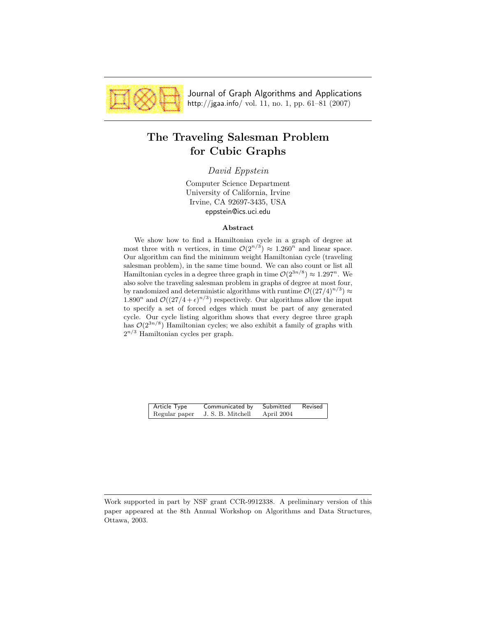

Journal of Graph Algorithms and Applications http://jgaa.info/ vol. 11, no. 1, pp. 61–81 (2007)

# The Traveling Salesman Problem for Cubic Graphs

#### David Eppstein

Computer Science Department University of California, Irvine Irvine, CA 92697-3435, USA eppstein@ics.uci.edu

#### Abstract

We show how to find a Hamiltonian cycle in a graph of degree at most three with *n* vertices, in time  $\mathcal{O}(2^{n/3}) \approx 1.260^n$  and linear space. Our algorithm can find the minimum weight Hamiltonian cycle (traveling salesman problem), in the same time bound. We can also count or list all Hamiltonian cycles in a degree three graph in time  $\mathcal{O}(2^{3n/8}) \approx 1.297^n$ . We also solve the traveling salesman problem in graphs of degree at most four, by randomized and deterministic algorithms with runtime  $\mathcal{O}((27/4)^{n/3}) \approx$ 1.890<sup>n</sup> and  $\mathcal{O}((27/4+\epsilon)^{n/3})$  respectively. Our algorithms allow the input to specify a set of forced edges which must be part of any generated cycle. Our cycle listing algorithm shows that every degree three graph has  $\mathcal{O}(2^{3n/8})$  Hamiltonian cycles; we also exhibit a family of graphs with  $2^{n/3}$  Hamiltonian cycles per graph.

| Article Type  | Communicated by   | Submitted  | Revised |
|---------------|-------------------|------------|---------|
| Regular paper | J. S. B. Mitchell | April 2004 |         |

Work supported in part by NSF grant CCR-9912338. A preliminary version of this paper appeared at the 8th Annual Workshop on Algorithms and Data Structures, Ottawa, 2003.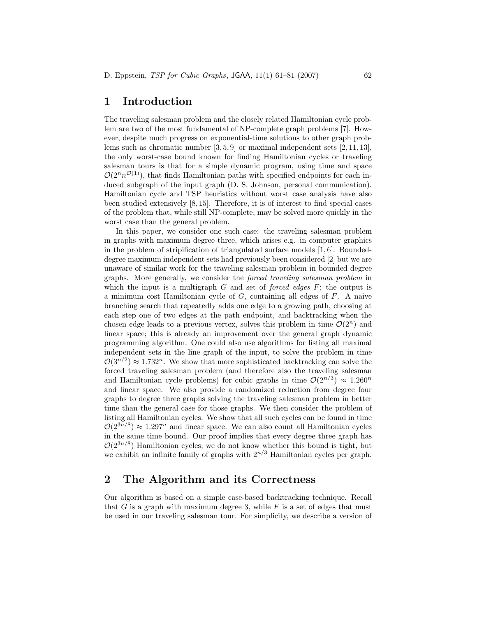### 1 Introduction

The traveling salesman problem and the closely related Hamiltonian cycle problem are two of the most fundamental of NP-complete graph problems [7]. However, despite much progress on exponential-time solutions to other graph problems such as chromatic number  $[3, 5, 9]$  or maximal independent sets  $[2, 11, 13]$ , the only worst-case bound known for finding Hamiltonian cycles or traveling salesman tours is that for a simple dynamic program, using time and space  $\mathcal{O}(2^n n^{\mathcal{O}(1)})$ , that finds Hamiltonian paths with specified endpoints for each induced subgraph of the input graph (D. S. Johnson, personal communication). Hamiltonian cycle and TSP heuristics without worst case analysis have also been studied extensively [8, 15]. Therefore, it is of interest to find special cases of the problem that, while still NP-complete, may be solved more quickly in the worst case than the general problem.

In this paper, we consider one such case: the traveling salesman problem in graphs with maximum degree three, which arises e.g. in computer graphics in the problem of stripification of triangulated surface models [1, 6]. Boundeddegree maximum independent sets had previously been considered [2] but we are unaware of similar work for the traveling salesman problem in bounded degree graphs. More generally, we consider the forced traveling salesman problem in which the input is a multigraph  $G$  and set of *forced edges*  $F$ ; the output is a minimum cost Hamiltonian cycle of  $G$ , containing all edges of  $F$ . A naive branching search that repeatedly adds one edge to a growing path, choosing at each step one of two edges at the path endpoint, and backtracking when the chosen edge leads to a previous vertex, solves this problem in time  $\mathcal{O}(2^n)$  and linear space; this is already an improvement over the general graph dynamic programming algorithm. One could also use algorithms for listing all maximal independent sets in the line graph of the input, to solve the problem in time  $\mathcal{O}(3^{n/2}) \approx 1.732^n$ . We show that more sophisticated backtracking can solve the forced traveling salesman problem (and therefore also the traveling salesman and Hamiltonian cycle problems) for cubic graphs in time  $\mathcal{O}(2^{n/3}) \approx 1.260^n$ and linear space. We also provide a randomized reduction from degree four graphs to degree three graphs solving the traveling salesman problem in better time than the general case for those graphs. We then consider the problem of listing all Hamiltonian cycles. We show that all such cycles can be found in time  $\mathcal{O}(2^{3n/8}) \approx 1.297^n$  and linear space. We can also count all Hamiltonian cycles in the same time bound. Our proof implies that every degree three graph has  $\mathcal{O}(2^{3n/8})$  Hamiltonian cycles; we do not know whether this bound is tight, but we exhibit an infinite family of graphs with  $2^{n/3}$  Hamiltonian cycles per graph.

### 2 The Algorithm and its Correctness

Our algorithm is based on a simple case-based backtracking technique. Recall that G is a graph with maximum degree 3, while  $F$  is a set of edges that must be used in our traveling salesman tour. For simplicity, we describe a version of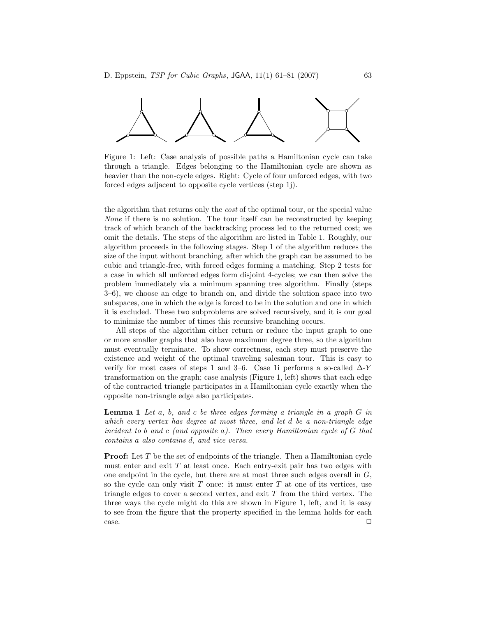

Figure 1: Left: Case analysis of possible paths a Hamiltonian cycle can take through a triangle. Edges belonging to the Hamiltonian cycle are shown as heavier than the non-cycle edges. Right: Cycle of four unforced edges, with two forced edges adjacent to opposite cycle vertices (step 1j).

the algorithm that returns only the cost of the optimal tour, or the special value None if there is no solution. The tour itself can be reconstructed by keeping track of which branch of the backtracking process led to the returned cost; we omit the details. The steps of the algorithm are listed in Table 1. Roughly, our algorithm proceeds in the following stages. Step 1 of the algorithm reduces the size of the input without branching, after which the graph can be assumed to be cubic and triangle-free, with forced edges forming a matching. Step 2 tests for a case in which all unforced edges form disjoint 4-cycles; we can then solve the problem immediately via a minimum spanning tree algorithm. Finally (steps 3–6), we choose an edge to branch on, and divide the solution space into two subspaces, one in which the edge is forced to be in the solution and one in which it is excluded. These two subproblems are solved recursively, and it is our goal to minimize the number of times this recursive branching occurs.

All steps of the algorithm either return or reduce the input graph to one or more smaller graphs that also have maximum degree three, so the algorithm must eventually terminate. To show correctness, each step must preserve the existence and weight of the optimal traveling salesman tour. This is easy to verify for most cases of steps 1 and 3–6. Case 1i performs a so-called  $\Delta$ -Y transformation on the graph; case analysis (Figure 1, left) shows that each edge of the contracted triangle participates in a Hamiltonian cycle exactly when the opposite non-triangle edge also participates.

**Lemma 1** Let  $a$ ,  $b$ , and  $c$  be three edges forming a triangle in a graph  $G$  in which every vertex has degree at most three, and let d be a non-triangle edge incident to b and c (and opposite a). Then every Hamiltonian cycle of G that contains a also contains d, and vice versa.

**Proof:** Let T be the set of endpoints of the triangle. Then a Hamiltonian cycle must enter and exit  $T$  at least once. Each entry-exit pair has two edges with one endpoint in the cycle, but there are at most three such edges overall in  $G$ , so the cycle can only visit  $T$  once: it must enter  $T$  at one of its vertices, use triangle edges to cover a second vertex, and exit  $T$  from the third vertex. The three ways the cycle might do this are shown in Figure 1, left, and it is easy to see from the figure that the property specified in the lemma holds for each  $\Box$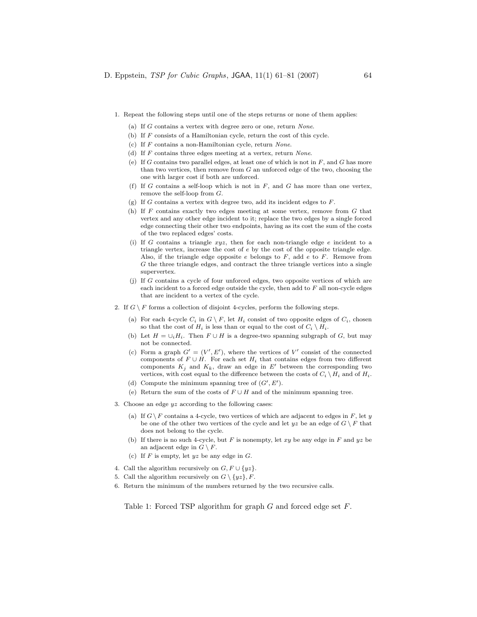- 1. Repeat the following steps until one of the steps returns or none of them applies:
	- (a) If G contains a vertex with degree zero or one, return None.
	- (b) If F consists of a Hamiltonian cycle, return the cost of this cycle.
	- (c) If F contains a non-Hamiltonian cycle, return None.
	- (d) If  $F$  contains three edges meeting at a vertex, return None.
	- (e) If  $G$  contains two parallel edges, at least one of which is not in  $F$ , and  $G$  has more than two vertices, then remove from  $G$  an unforced edge of the two, choosing the one with larger cost if both are unforced.
	- (f) If G contains a self-loop which is not in  $F$ , and G has more than one vertex, remove the self-loop from G.
	- (g) If  $G$  contains a vertex with degree two, add its incident edges to  $F$ .
	- (h) If F contains exactly two edges meeting at some vertex, remove from G that vertex and any other edge incident to it; replace the two edges by a single forced edge connecting their other two endpoints, having as its cost the sum of the costs of the two replaced edges' costs.
	- (i) If G contains a triangle  $xyz$ , then for each non-triangle edge e incident to a triangle vertex, increase the cost of e by the cost of the opposite triangle edge. Also, if the triangle edge opposite  $e$  belongs to  $F$ , add  $e$  to  $F$ . Remove from G the three triangle edges, and contract the three triangle vertices into a single supervertex.
	- (j) If G contains a cycle of four unforced edges, two opposite vertices of which are each incident to a forced edge outside the cycle, then add to  $F$  all non-cycle edges that are incident to a vertex of the cycle.
- 2. If  $G \setminus F$  forms a collection of disjoint 4-cycles, perform the following steps.
	- (a) For each 4-cycle  $C_i$  in  $G \setminus F$ , let  $H_i$  consist of two opposite edges of  $C_i$ , chosen so that the cost of  $H_i$  is less than or equal to the cost of  $C_i \setminus H_i$ .
	- (b) Let  $H = \bigcup_i H_i$ . Then  $F \cup H$  is a degree-two spanning subgraph of G, but may not be connected.
	- (c) Form a graph  $G' = (V', E')$ , where the vertices of V' consist of the connected components of  $F \cup H$ . For each set  $H_i$  that contains edges from two different components  $K_j$  and  $K_k$ , draw an edge in  $E'$  between the corresponding two vertices, with cost equal to the difference between the costs of  $C_i \setminus H_i$  and of  $H_i$ .
	- (d) Compute the minimum spanning tree of  $(G', E')$ .
	- (e) Return the sum of the costs of  $F \cup H$  and of the minimum spanning tree.
- 3. Choose an edge  $yz$  according to the following cases:
	- (a) If  $G \backslash F$  contains a 4-cycle, two vertices of which are adjacent to edges in F, let y be one of the other two vertices of the cycle and let  $yz$  be an edge of  $G \setminus F$  that does not belong to the cycle.
	- (b) If there is no such 4-cycle, but F is nonempty, let xy be any edge in F and  $yz$  be an adjacent edge in  $G \setminus F$ .
	- (c) If  $F$  is empty, let  $yz$  be any edge in  $G$ .
- 4. Call the algorithm recursively on  $G, F \cup \{yz\}$ .
- 5. Call the algorithm recursively on  $G \setminus \{yz\}, F$ .
- 6. Return the minimum of the numbers returned by the two recursive calls.

Table 1: Forced TSP algorithm for graph G and forced edge set F.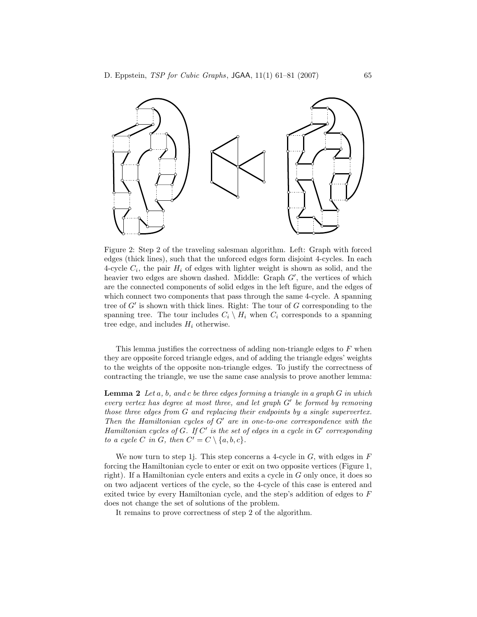

Figure 2: Step 2 of the traveling salesman algorithm. Left: Graph with forced edges (thick lines), such that the unforced edges form disjoint 4-cycles. In each 4-cycle  $C_i$ , the pair  $H_i$  of edges with lighter weight is shown as solid, and the heavier two edges are shown dashed. Middle: Graph G', the vertices of which are the connected components of solid edges in the left figure, and the edges of which connect two components that pass through the same 4-cycle. A spanning tree of  $G'$  is shown with thick lines. Right: The tour of  $G$  corresponding to the spanning tree. The tour includes  $C_i \setminus H_i$  when  $C_i$  corresponds to a spanning tree edge, and includes  $H_i$  otherwise.

This lemma justifies the correctness of adding non-triangle edges to  $F$  when they are opposite forced triangle edges, and of adding the triangle edges' weights to the weights of the opposite non-triangle edges. To justify the correctness of contracting the triangle, we use the same case analysis to prove another lemma:

**Lemma 2** Let  $a, b$ , and  $c$  be three edges forming a triangle in a graph  $G$  in which every vertex has degree at most three, and let graph G′ be formed by removing those three edges from G and replacing their endpoints by a single supervertex. Then the Hamiltonian cycles of  $G'$  are in one-to-one correspondence with the Hamiltonian cycles of  $G$ . If  $C'$  is the set of edges in a cycle in  $G'$  corresponding to a cycle C in G, then  $C' = C \setminus \{a, b, c\}.$ 

We now turn to step 1j. This step concerns a 4-cycle in  $G$ , with edges in  $F$ forcing the Hamiltonian cycle to enter or exit on two opposite vertices (Figure 1, right). If a Hamiltonian cycle enters and exits a cycle in G only once, it does so on two adjacent vertices of the cycle, so the 4-cycle of this case is entered and exited twice by every Hamiltonian cycle, and the step's addition of edges to F does not change the set of solutions of the problem.

It remains to prove correctness of step 2 of the algorithm.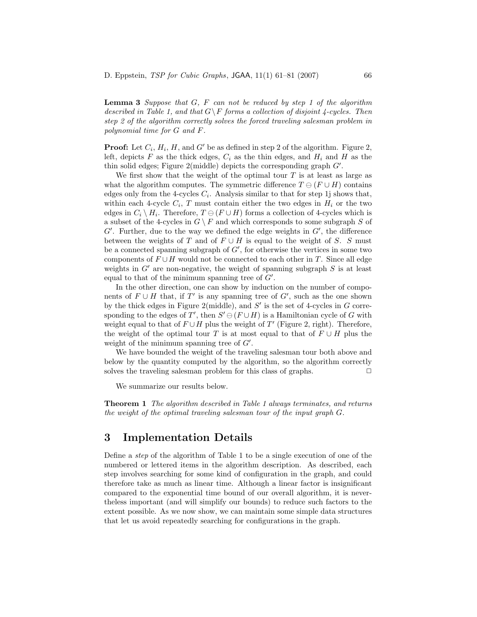**Lemma 3** Suppose that  $G$ ,  $F$  can not be reduced by step 1 of the algorithm described in Table 1, and that  $G \backslash F$  forms a collection of disjoint 4-cycles. Then step 2 of the algorithm correctly solves the forced traveling salesman problem in polynomial time for G and F.

**Proof:** Let  $C_i$ ,  $H_i$ ,  $H$ , and  $G'$  be as defined in step 2 of the algorithm. Figure 2, left, depicts F as the thick edges,  $C_i$  as the thin edges, and  $H_i$  and H as the thin solid edges; Figure 2(middle) depicts the corresponding graph  $G'$ .

We first show that the weight of the optimal tour  $T$  is at least as large as what the algorithm computes. The symmetric difference  $T \ominus (F \cup H)$  contains edges only from the 4-cycles  $C_i$ . Analysis similar to that for step 1 shows that, within each 4-cycle  $C_i$ , T must contain either the two edges in  $H_i$  or the two edges in  $C_i \setminus H_i$ . Therefore,  $T \ominus (F \cup H)$  forms a collection of 4-cycles which is a subset of the 4-cycles in  $G \setminus F$  and which corresponds to some subgraph S of  $G'$ . Further, due to the way we defined the edge weights in  $G'$ , the difference between the weights of T and of  $F \cup H$  is equal to the weight of S. S must be a connected spanning subgraph of  $G'$ , for otherwise the vertices in some two components of  $F \cup H$  would not be connected to each other in T. Since all edge weights in  $G'$  are non-negative, the weight of spanning subgraph  $S$  is at least equal to that of the minimum spanning tree of  $G'$ .

In the other direction, one can show by induction on the number of components of  $F \cup H$  that, if T' is any spanning tree of G', such as the one shown by the thick edges in Figure 2(middle), and  $S'$  is the set of 4-cycles in  $G$  corresponding to the edges of T', then  $S' \ominus (F \cup H)$  is a Hamiltonian cycle of G with weight equal to that of  $F \cup H$  plus the weight of T' (Figure 2, right). Therefore, the weight of the optimal tour T is at most equal to that of  $F \cup H$  plus the weight of the minimum spanning tree of  $G'$ .

We have bounded the weight of the traveling salesman tour both above and below by the quantity computed by the algorithm, so the algorithm correctly solves the traveling salesman problem for this class of graphs.  $\Box$ 

We summarize our results below.

**Theorem 1** The algorithm described in Table 1 always terminates, and returns the weight of the optimal traveling salesman tour of the input graph G.

### 3 Implementation Details

Define a step of the algorithm of Table 1 to be a single execution of one of the numbered or lettered items in the algorithm description. As described, each step involves searching for some kind of configuration in the graph, and could therefore take as much as linear time. Although a linear factor is insignificant compared to the exponential time bound of our overall algorithm, it is nevertheless important (and will simplify our bounds) to reduce such factors to the extent possible. As we now show, we can maintain some simple data structures that let us avoid repeatedly searching for configurations in the graph.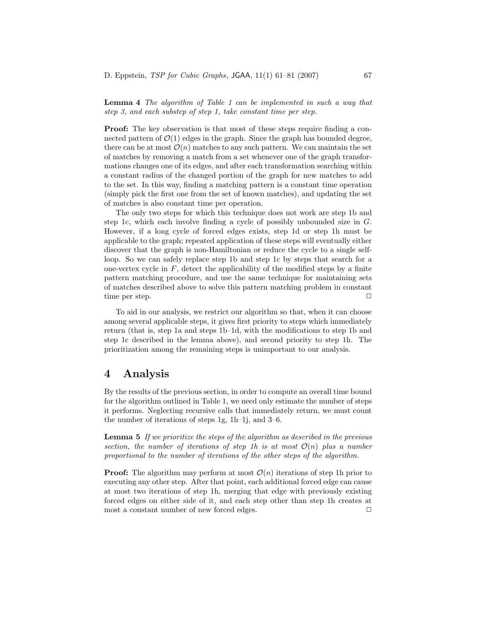Lemma 4 The algorithm of Table 1 can be implemented in such a way that step 3, and each substep of step 1, take constant time per step.

**Proof:** The key observation is that most of these steps require finding a connected pattern of  $\mathcal{O}(1)$  edges in the graph. Since the graph has bounded degree, there can be at most  $\mathcal{O}(n)$  matches to any such pattern. We can maintain the set of matches by removing a match from a set whenever one of the graph transformations changes one of its edges, and after each transformation searching within a constant radius of the changed portion of the graph for new matches to add to the set. In this way, finding a matching pattern is a constant time operation (simply pick the first one from the set of known matches), and updating the set of matches is also constant time per operation.

The only two steps for which this technique does not work are step 1b and step 1c, which each involve finding a cycle of possibly unbounded size in G. However, if a long cycle of forced edges exists, step 1d or step 1h must be applicable to the graph; repeated application of these steps will eventually either discover that the graph is non-Hamiltonian or reduce the cycle to a single selfloop. So we can safely replace step 1b and step 1c by steps that search for a one-vertex cycle in  $F$ , detect the applicability of the modified steps by a finite pattern matching procedure, and use the same technique for maintaining sets of matches described above to solve this pattern matching problem in constant time per step.  $\Box$ 

To aid in our analysis, we restrict our algorithm so that, when it can choose among several applicable steps, it gives first priority to steps which immediately return (that is, step 1a and steps 1b–1d, with the modifications to step 1b and step 1c described in the lemma above), and second priority to step 1h. The prioritization among the remaining steps is unimportant to our analysis.

#### 4 Analysis

By the results of the previous section, in order to compute an overall time bound for the algorithm outlined in Table 1, we need only estimate the number of steps it performs. Neglecting recursive calls that immediately return, we must count the number of iterations of steps 1g, 1h–1j, and 3–6.

**Lemma 5** If we prioritize the steps of the algorithm as described in the previous section, the number of iterations of step 1h is at most  $\mathcal{O}(n)$  plus a number proportional to the number of iterations of the other steps of the algorithm.

**Proof:** The algorithm may perform at most  $\mathcal{O}(n)$  iterations of step 1h prior to executing any other step. After that point, each additional forced edge can cause at most two iterations of step 1h, merging that edge with previously existing forced edges on either side of it, and each step other than step 1h creates at most a constant number of new forced edges.  $\Box$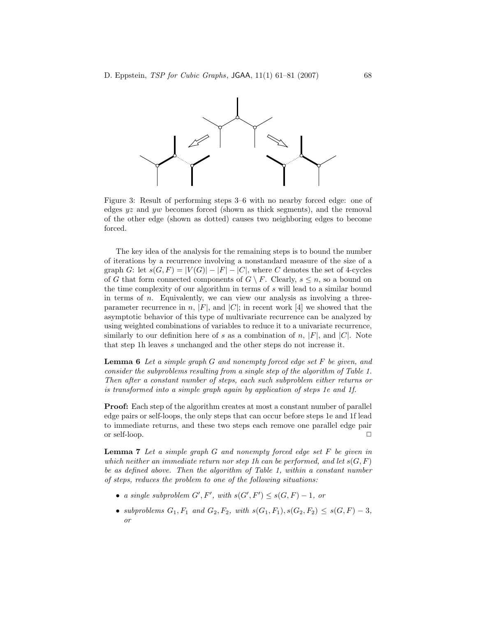

Figure 3: Result of performing steps 3–6 with no nearby forced edge: one of edges  $yz$  and  $yw$  becomes forced (shown as thick segments), and the removal of the other edge (shown as dotted) causes two neighboring edges to become forced.

The key idea of the analysis for the remaining steps is to bound the number of iterations by a recurrence involving a nonstandard measure of the size of a graph G: let  $s(G, F) = |V(G)| - |F| - |C|$ , where C denotes the set of 4-cycles of G that form connected components of  $G \setminus F$ . Clearly,  $s \leq n$ , so a bound on the time complexity of our algorithm in terms of s will lead to a similar bound in terms of  $n$ . Equivalently, we can view our analysis as involving a threeparameter recurrence in n,  $|F|$ , and  $|C|$ ; in recent work [4] we showed that the asymptotic behavior of this type of multivariate recurrence can be analyzed by using weighted combinations of variables to reduce it to a univariate recurrence, similarly to our definition here of s as a combination of n,  $|F|$ , and  $|C|$ . Note that step 1h leaves s unchanged and the other steps do not increase it.

**Lemma 6** Let a simple graph  $G$  and nonempty forced edge set  $F$  be given, and consider the subproblems resulting from a single step of the algorithm of Table 1. Then after a constant number of steps, each such subproblem either returns or is transformed into a simple graph again by application of steps 1e and 1f.

Proof: Each step of the algorithm creates at most a constant number of parallel edge pairs or self-loops, the only steps that can occur before steps 1e and 1f lead to immediate returns, and these two steps each remove one parallel edge pair or self-loop.  $\Box$ 

**Lemma 7** Let a simple graph  $G$  and nonempty forced edge set  $F$  be given in which neither an immediate return nor step 1h can be performed, and let  $s(G, F)$ be as defined above. Then the algorithm of Table 1, within a constant number of steps, reduces the problem to one of the following situations:

- a single subproblem  $G', F'$ , with  $s(G', F') \leq s(G, F) 1$ , or
- subproblems  $G_1, F_1$  and  $G_2, F_2$ , with  $s(G_1, F_1), s(G_2, F_2) \leq s(G, F) 3$ , or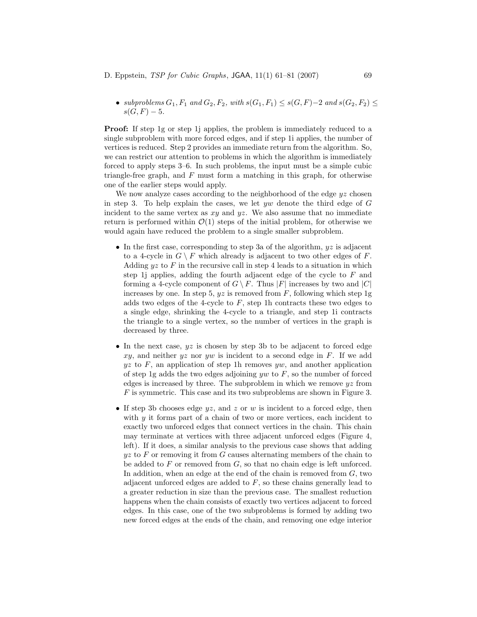• subproblems  $G_1, F_1$  and  $G_2, F_2$ , with  $s(G_1, F_1) \leq s(G, F) - 2$  and  $s(G_2, F_2) \leq s(G, F)$  $s(G, F) - 5.$ 

Proof: If step 1g or step 1j applies, the problem is immediately reduced to a single subproblem with more forced edges, and if step 1i applies, the number of vertices is reduced. Step 2 provides an immediate return from the algorithm. So, we can restrict our attention to problems in which the algorithm is immediately forced to apply steps 3–6. In such problems, the input must be a simple cubic triangle-free graph, and  $F$  must form a matching in this graph, for otherwise one of the earlier steps would apply.

We now analyze cases according to the neighborhood of the edge  $yz$  chosen in step 3. To help explain the cases, we let  $yw$  denote the third edge of  $G$ incident to the same vertex as  $xy$  and  $yz$ . We also assume that no immediate return is performed within  $\mathcal{O}(1)$  steps of the initial problem, for otherwise we would again have reduced the problem to a single smaller subproblem.

- In the first case, corresponding to step 3a of the algorithm,  $yz$  is adjacent to a 4-cycle in  $G \setminus F$  which already is adjacent to two other edges of F. Adding  $yz$  to  $F$  in the recursive call in step 4 leads to a situation in which step 1j applies, adding the fourth adjacent edge of the cycle to F and forming a 4-cycle component of  $G \setminus F$ . Thus  $|F|$  increases by two and  $|C|$ increases by one. In step 5,  $yz$  is removed from F, following which step 1g adds two edges of the 4-cycle to  $F$ , step 1h contracts these two edges to a single edge, shrinking the 4-cycle to a triangle, and step 1i contracts the triangle to a single vertex, so the number of vertices in the graph is decreased by three.
- In the next case,  $yz$  is chosen by step 3b to be adjacent to forced edge xy, and neither  $yz$  nor yw is incident to a second edge in  $F$ . If we add  $yz$  to F, an application of step 1h removes yw, and another application of step 1g adds the two edges adjoining yw to  $F$ , so the number of forced edges is increased by three. The subproblem in which we remove  $yz$  from F is symmetric. This case and its two subproblems are shown in Figure 3.
- If step 3b chooses edge  $yz$ , and z or w is incident to a forced edge, then with  $y$  it forms part of a chain of two or more vertices, each incident to exactly two unforced edges that connect vertices in the chain. This chain may terminate at vertices with three adjacent unforced edges (Figure 4, left). If it does, a similar analysis to the previous case shows that adding  $yz$  to F or removing it from G causes alternating members of the chain to be added to  $F$  or removed from  $G$ , so that no chain edge is left unforced. In addition, when an edge at the end of the chain is removed from  $G$ , two adjacent unforced edges are added to  $F$ , so these chains generally lead to a greater reduction in size than the previous case. The smallest reduction happens when the chain consists of exactly two vertices adjacent to forced edges. In this case, one of the two subproblems is formed by adding two new forced edges at the ends of the chain, and removing one edge interior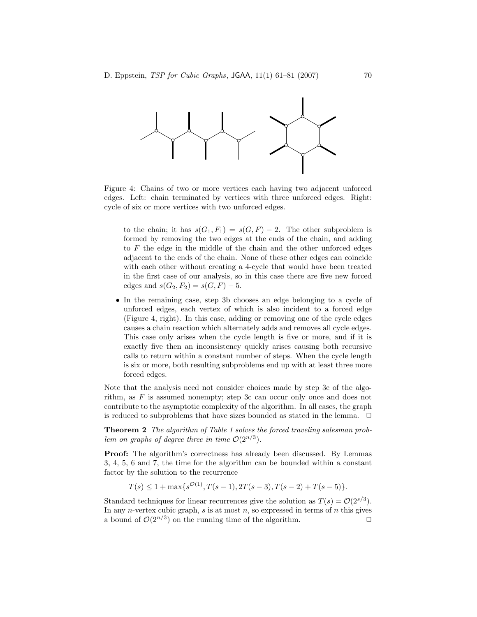

Figure 4: Chains of two or more vertices each having two adjacent unforced edges. Left: chain terminated by vertices with three unforced edges. Right: cycle of six or more vertices with two unforced edges.

to the chain; it has  $s(G_1, F_1) = s(G, F) - 2$ . The other subproblem is formed by removing the two edges at the ends of the chain, and adding to  $F$  the edge in the middle of the chain and the other unforced edges adjacent to the ends of the chain. None of these other edges can coincide with each other without creating a 4-cycle that would have been treated in the first case of our analysis, so in this case there are five new forced edges and  $s(G_2, F_2) = s(G, F) - 5$ .

• In the remaining case, step 3b chooses an edge belonging to a cycle of unforced edges, each vertex of which is also incident to a forced edge (Figure 4, right). In this case, adding or removing one of the cycle edges causes a chain reaction which alternately adds and removes all cycle edges. This case only arises when the cycle length is five or more, and if it is exactly five then an inconsistency quickly arises causing both recursive calls to return within a constant number of steps. When the cycle length is six or more, both resulting subproblems end up with at least three more forced edges.

Note that the analysis need not consider choices made by step 3c of the algorithm, as F is assumed nonempty; step 3c can occur only once and does not contribute to the asymptotic complexity of the algorithm. In all cases, the graph is reduced to subproblems that have sizes bounded as stated in the lemma.  $\Box$ 

Theorem 2 The algorithm of Table 1 solves the forced traveling salesman problem on graphs of degree three in time  $\mathcal{O}(2^{n/3})$ .

Proof: The algorithm's correctness has already been discussed. By Lemmas 3, 4, 5, 6 and 7, the time for the algorithm can be bounded within a constant factor by the solution to the recurrence

 $T(s) \leq 1 + \max\{s^{\mathcal{O}(1)}, T(s-1), 2T(s-3), T(s-2) + T(s-5)\}.$ 

Standard techniques for linear recurrences give the solution as  $T(s) = \mathcal{O}(2^{s/3})$ . In any *n*-vertex cubic graph,  $s$  is at most  $n$ , so expressed in terms of  $n$  this gives a bound of  $\mathcal{O}(2^{n/3})$  on the running time of the algorithm.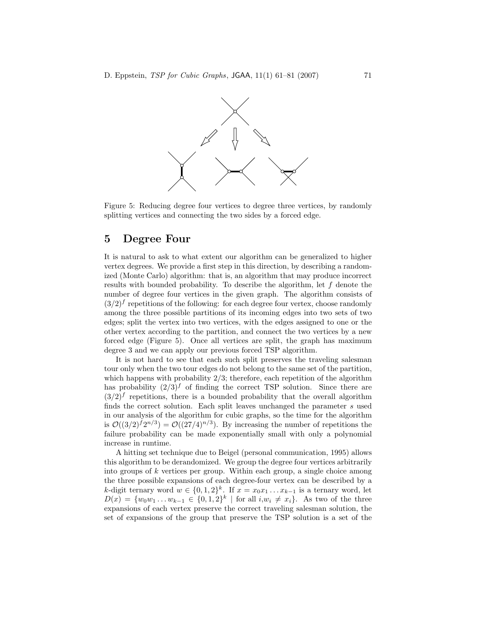

Figure 5: Reducing degree four vertices to degree three vertices, by randomly splitting vertices and connecting the two sides by a forced edge.

### 5 Degree Four

It is natural to ask to what extent our algorithm can be generalized to higher vertex degrees. We provide a first step in this direction, by describing a randomized (Monte Carlo) algorithm: that is, an algorithm that may produce incorrect results with bounded probability. To describe the algorithm, let f denote the number of degree four vertices in the given graph. The algorithm consists of  $(3/2)^f$  repetitions of the following: for each degree four vertex, choose randomly among the three possible partitions of its incoming edges into two sets of two edges; split the vertex into two vertices, with the edges assigned to one or the other vertex according to the partition, and connect the two vertices by a new forced edge (Figure 5). Once all vertices are split, the graph has maximum degree 3 and we can apply our previous forced TSP algorithm.

It is not hard to see that each such split preserves the traveling salesman tour only when the two tour edges do not belong to the same set of the partition, which happens with probability  $2/3$ ; therefore, each repetition of the algorithm has probability  $(2/3)^f$  of finding the correct TSP solution. Since there are  $(3/2)^f$  repetitions, there is a bounded probability that the overall algorithm finds the correct solution. Each split leaves unchanged the parameter s used in our analysis of the algorithm for cubic graphs, so the time for the algorithm is  $\mathcal{O}((3/2)^f 2^{n/3}) = \mathcal{O}((27/4)^{n/3})$ . By increasing the number of repetitions the failure probability can be made exponentially small with only a polynomial increase in runtime.

A hitting set technique due to Beigel (personal communication, 1995) allows this algorithm to be derandomized. We group the degree four vertices arbitrarily into groups of  $k$  vertices per group. Within each group, a single choice among the three possible expansions of each degree-four vertex can be described by a k-digit ternary word  $w \in \{0, 1, 2\}^k$ . If  $x = x_0 x_1 \dots x_{k-1}$  is a ternary word, let  $D(x) = \{w_0w_1...w_{k-1} \in \{0,1,2\}^k \mid \text{for all } i,w_i \neq x_i\}.$  As two of the three expansions of each vertex preserve the correct traveling salesman solution, the set of expansions of the group that preserve the TSP solution is a set of the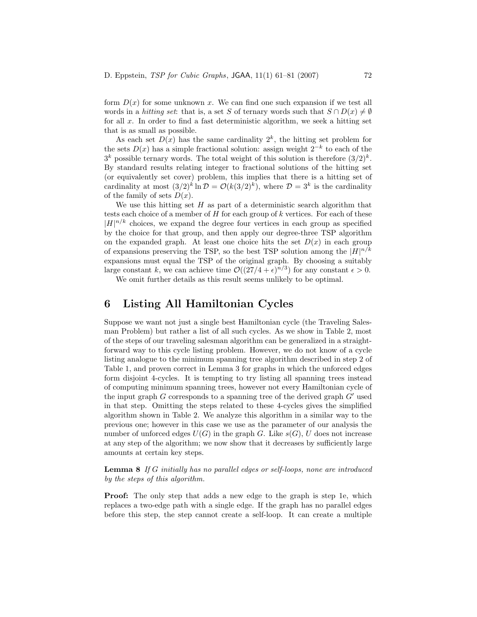form  $D(x)$  for some unknown x. We can find one such expansion if we test all words in a hitting set: that is, a set S of ternary words such that  $S \cap D(x) \neq \emptyset$ for all x. In order to find a fast deterministic algorithm, we seek a hitting set that is as small as possible.

As each set  $D(x)$  has the same cardinality  $2<sup>k</sup>$ , the hitting set problem for the sets  $D(x)$  has a simple fractional solution: assign weight  $2^{-k}$  to each of the  $3^k$  possible ternary words. The total weight of this solution is therefore  $(3/2)^k$ . By standard results relating integer to fractional solutions of the hitting set (or equivalently set cover) problem, this implies that there is a hitting set of cardinality at most  $(3/2)^k \ln \mathcal{D} = \mathcal{O}(k(3/2)^k)$ , where  $\mathcal{D} = 3^k$  is the cardinality of the family of sets  $D(x)$ .

We use this hitting set  $H$  as part of a deterministic search algorithm that tests each choice of a member of  $H$  for each group of  $k$  vertices. For each of these  $|H|^{n/k}$  choices, we expand the degree four vertices in each group as specified by the choice for that group, and then apply our degree-three TSP algorithm on the expanded graph. At least one choice hits the set  $D(x)$  in each group of expansions preserving the TSP, so the best TSP solution among the  $|H|^{n/k}$ expansions must equal the TSP of the original graph. By choosing a suitably large constant k, we can achieve time  $\mathcal{O}((27/4 + \epsilon)^{n/3})$  for any constant  $\epsilon > 0$ .

We omit further details as this result seems unlikely to be optimal.

### 6 Listing All Hamiltonian Cycles

Suppose we want not just a single best Hamiltonian cycle (the Traveling Salesman Problem) but rather a list of all such cycles. As we show in Table 2, most of the steps of our traveling salesman algorithm can be generalized in a straightforward way to this cycle listing problem. However, we do not know of a cycle listing analogue to the minimum spanning tree algorithm described in step 2 of Table 1, and proven correct in Lemma 3 for graphs in which the unforced edges form disjoint 4-cycles. It is tempting to try listing all spanning trees instead of computing minimum spanning trees, however not every Hamiltonian cycle of the input graph  $G$  corresponds to a spanning tree of the derived graph  $G'$  used in that step. Omitting the steps related to these 4-cycles gives the simplified algorithm shown in Table 2. We analyze this algorithm in a similar way to the previous one; however in this case we use as the parameter of our analysis the number of unforced edges  $U(G)$  in the graph G. Like  $s(G)$ , U does not increase at any step of the algorithm; we now show that it decreases by sufficiently large amounts at certain key steps.

Lemma 8 If G initially has no parallel edges or self-loops, none are introduced by the steps of this algorithm.

Proof: The only step that adds a new edge to the graph is step 1e, which replaces a two-edge path with a single edge. If the graph has no parallel edges before this step, the step cannot create a self-loop. It can create a multiple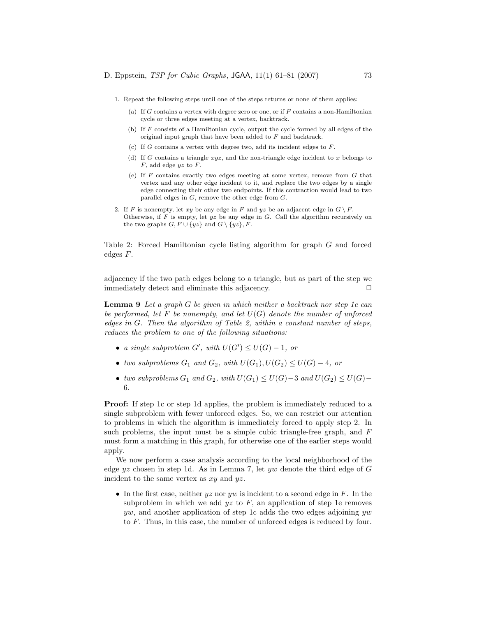- 1. Repeat the following steps until one of the steps returns or none of them applies:
	- (a) If G contains a vertex with degree zero or one, or if  $F$  contains a non-Hamiltonian cycle or three edges meeting at a vertex, backtrack.
	- (b) If F consists of a Hamiltonian cycle, output the cycle formed by all edges of the original input graph that have been added to F and backtrack.
	- (c) If  $G$  contains a vertex with degree two, add its incident edges to  $F$ .
	- (d) If  $G$  contains a triangle  $xyz$ , and the non-triangle edge incident to  $x$  belongs to  $F$ , add edge  $yz$  to  $F$ .
	- (e) If  $F$  contains exactly two edges meeting at some vertex, remove from  $G$  that vertex and any other edge incident to it, and replace the two edges by a single edge connecting their other two endpoints. If this contraction would lead to two parallel edges in G, remove the other edge from G.
- 2. If F is nonempty, let xy be any edge in F and yz be an adjacent edge in  $G \setminus F$ . Otherwise, if  $F$  is empty, let  $yz$  be any edge in  $G$ . Call the algorithm recursively on the two graphs  $G, F \cup \{yz\}$  and  $G \setminus \{yz\}, F$ .

Table 2: Forced Hamiltonian cycle listing algorithm for graph G and forced edges F.

adjacency if the two path edges belong to a triangle, but as part of the step we immediately detect and eliminate this adjacency.  $\Box$ 

Lemma 9 Let a graph G be given in which neither a backtrack nor step 1e can be performed, let F be nonempty, and let  $U(G)$  denote the number of unforced edges in  $G$ . Then the algorithm of Table 2, within a constant number of steps, reduces the problem to one of the following situations:

- a single subproblem  $G'$ , with  $U(G') \leq U(G) 1$ , or
- two subproblems  $G_1$  and  $G_2$ , with  $U(G_1), U(G_2) \leq U(G) 4$ , or
- two subproblems  $G_1$  and  $G_2$ , with  $U(G_1) \leq U(G) 3$  and  $U(G_2) \leq U(G) 3$ 6.

Proof: If step 1c or step 1d applies, the problem is immediately reduced to a single subproblem with fewer unforced edges. So, we can restrict our attention to problems in which the algorithm is immediately forced to apply step 2. In such problems, the input must be a simple cubic triangle-free graph, and  $F$ must form a matching in this graph, for otherwise one of the earlier steps would apply.

We now perform a case analysis according to the local neighborhood of the edge  $yz$  chosen in step 1d. As in Lemma 7, let  $yw$  denote the third edge of G incident to the same vertex as  $xy$  and  $yz$ .

• In the first case, neither  $yz$  nor  $yw$  is incident to a second edge in F. In the subproblem in which we add  $yz$  to  $F$ , an application of step 1e removes  $yw$ , and another application of step 1c adds the two edges adjoining  $yw$ to F. Thus, in this case, the number of unforced edges is reduced by four.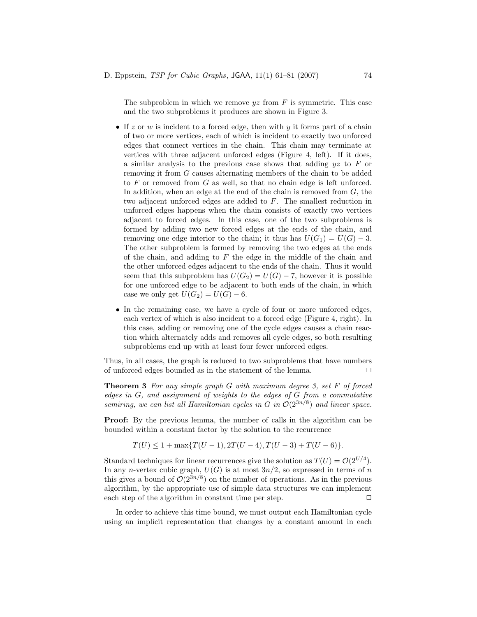The subproblem in which we remove  $yz$  from F is symmetric. This case and the two subproblems it produces are shown in Figure 3.

- If z or w is incident to a forced edge, then with y it forms part of a chain of two or more vertices, each of which is incident to exactly two unforced edges that connect vertices in the chain. This chain may terminate at vertices with three adjacent unforced edges (Figure 4, left). If it does, a similar analysis to the previous case shows that adding  $yz$  to F or removing it from G causes alternating members of the chain to be added to  $F$  or removed from  $G$  as well, so that no chain edge is left unforced. In addition, when an edge at the end of the chain is removed from  $G$ , the two adjacent unforced edges are added to F. The smallest reduction in unforced edges happens when the chain consists of exactly two vertices adjacent to forced edges. In this case, one of the two subproblems is formed by adding two new forced edges at the ends of the chain, and removing one edge interior to the chain; it thus has  $U(G_1) = U(G) - 3$ . The other subproblem is formed by removing the two edges at the ends of the chain, and adding to  $F$  the edge in the middle of the chain and the other unforced edges adjacent to the ends of the chain. Thus it would seem that this subproblem has  $U(G_2) = U(G) - 7$ , however it is possible for one unforced edge to be adjacent to both ends of the chain, in which case we only get  $U(G_2) = U(G) - 6$ .
- In the remaining case, we have a cycle of four or more unforced edges, each vertex of which is also incident to a forced edge (Figure 4, right). In this case, adding or removing one of the cycle edges causes a chain reaction which alternately adds and removes all cycle edges, so both resulting subproblems end up with at least four fewer unforced edges.

Thus, in all cases, the graph is reduced to two subproblems that have numbers of unforced edges bounded as in the statement of the lemma.  $\Box$ 

Theorem 3 For any simple graph G with maximum degree 3, set F of forced edges in G, and assignment of weights to the edges of G from a commutative semiring, we can list all Hamiltonian cycles in G in  $\mathcal{O}(2^{3n/8})$  and linear space.

Proof: By the previous lemma, the number of calls in the algorithm can be bounded within a constant factor by the solution to the recurrence

 $T(U) \leq 1 + \max\{T(U-1), 2T(U-4), T(U-3) + T(U-6)\}.$ 

Standard techniques for linear recurrences give the solution as  $T(U) = \mathcal{O}(2^{U/4})$ . In any *n*-vertex cubic graph,  $U(G)$  is at most  $3n/2$ , so expressed in terms of *n* this gives a bound of  $\mathcal{O}(2^{3n/8})$  on the number of operations. As in the previous algorithm, by the appropriate use of simple data structures we can implement each step of the algorithm in constant time per step.  $\Box$ 

In order to achieve this time bound, we must output each Hamiltonian cycle using an implicit representation that changes by a constant amount in each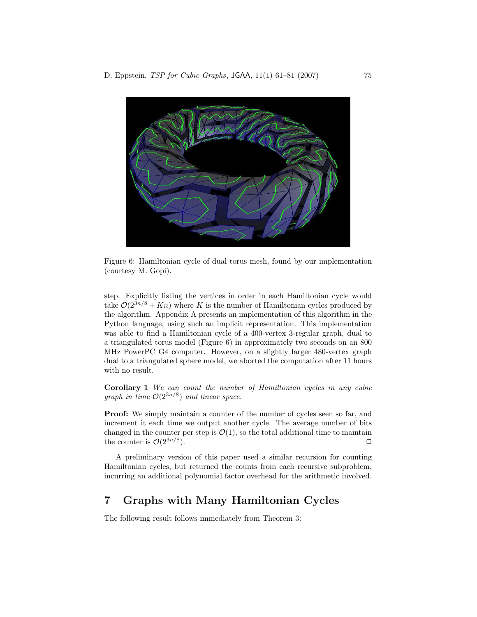

Figure 6: Hamiltonian cycle of dual torus mesh, found by our implementation (courtesy M. Gopi).

step. Explicitly listing the vertices in order in each Hamiltonian cycle would take  $\mathcal{O}(2^{3n/8} + Kn)$  where K is the number of Hamiltonian cycles produced by the algorithm. Appendix A presents an implementation of this algorithm in the Python language, using such an implicit representation. This implementation was able to find a Hamiltonian cycle of a 400-vertex 3-regular graph, dual to a triangulated torus model (Figure 6) in approximately two seconds on an 800 MHz PowerPC G4 computer. However, on a slightly larger 480-vertex graph dual to a triangulated sphere model, we aborted the computation after 11 hours with no result.

Corollary 1 We can count the number of Hamiltonian cycles in any cubic graph in time  $\mathcal{O}(2^{3n/8})$  and linear space.

**Proof:** We simply maintain a counter of the number of cycles seen so far, and increment it each time we output another cycle. The average number of bits changed in the counter per step is  $\mathcal{O}(1)$ , so the total additional time to maintain the counter is  $\mathcal{O}(2^{3n/8})$ . ).  $\Box$ 

A preliminary version of this paper used a similar recursion for counting Hamiltonian cycles, but returned the counts from each recursive subproblem, incurring an additional polynomial factor overhead for the arithmetic involved.

## 7 Graphs with Many Hamiltonian Cycles

The following result follows immediately from Theorem 3: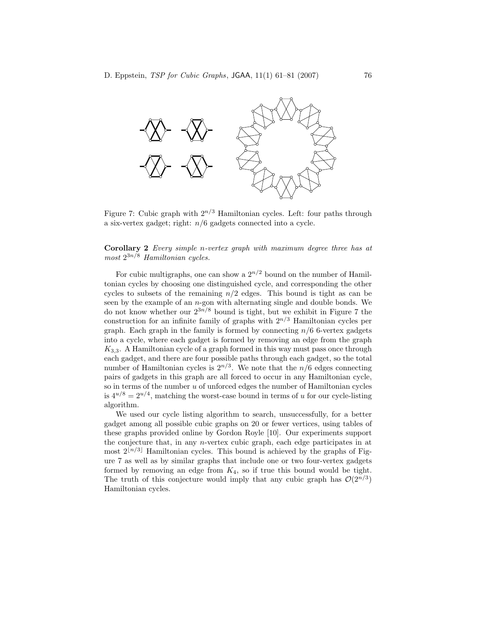

Figure 7: Cubic graph with  $2^{n/3}$  Hamiltonian cycles. Left: four paths through a six-vertex gadget; right:  $n/6$  gadgets connected into a cycle.

Corollary 2 Every simple n-vertex graph with maximum degree three has at  $most$   $2^{3n/8}$  Hamiltonian cycles.

For cubic multigraphs, one can show a  $2^{n/2}$  bound on the number of Hamiltonian cycles by choosing one distinguished cycle, and corresponding the other cycles to subsets of the remaining  $n/2$  edges. This bound is tight as can be seen by the example of an n-gon with alternating single and double bonds. We do not know whether our  $2^{3n/8}$  bound is tight, but we exhibit in Figure 7 the construction for an infinite family of graphs with  $2^{n/3}$  Hamiltonian cycles per graph. Each graph in the family is formed by connecting  $n/6$  6-vertex gadgets into a cycle, where each gadget is formed by removing an edge from the graph  $K_{3,3}$ . A Hamiltonian cycle of a graph formed in this way must pass once through each gadget, and there are four possible paths through each gadget, so the total number of Hamiltonian cycles is  $2^{n/3}$ . We note that the  $n/6$  edges connecting pairs of gadgets in this graph are all forced to occur in any Hamiltonian cycle, so in terms of the number u of unforced edges the number of Hamiltonian cycles is  $4^{u/8} = 2^{u/4}$ , matching the worst-case bound in terms of u for our cycle-listing algorithm.

We used our cycle listing algorithm to search, unsuccessfully, for a better gadget among all possible cubic graphs on 20 or fewer vertices, using tables of these graphs provided online by Gordon Royle [10]. Our experiments support the conjecture that, in any n-vertex cubic graph, each edge participates in at most  $2^{\lfloor n/3 \rfloor}$  Hamiltonian cycles. This bound is achieved by the graphs of Figure 7 as well as by similar graphs that include one or two four-vertex gadgets formed by removing an edge from  $K_4$ , so if true this bound would be tight. The truth of this conjecture would imply that any cubic graph has  $\mathcal{O}(2^{n/3})$ Hamiltonian cycles.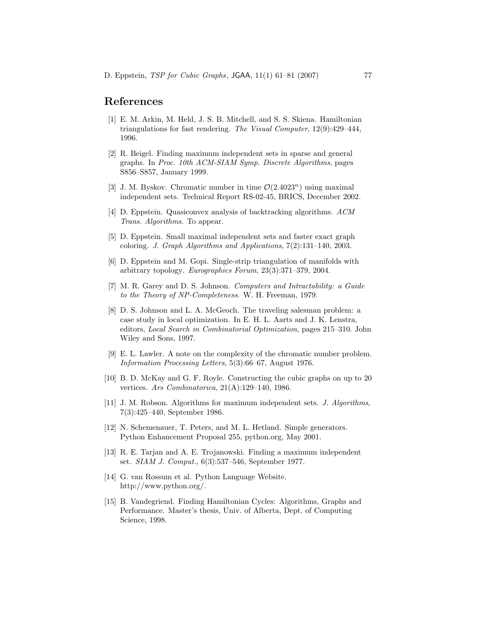### References

- [1] E. M. Arkin, M. Held, J. S. B. Mitchell, and S. S. Skiena. Hamiltonian triangulations for fast rendering. The Visual Computer, 12(9):429–444, 1996.
- [2] R. Beigel. Finding maximum independent sets in sparse and general graphs. In Proc. 10th ACM-SIAM Symp. Discrete Algorithms, pages S856–S857, January 1999.
- [3] J. M. Byskov. Chromatic number in time  $\mathcal{O}(2.4023^n)$  using maximal independent sets. Technical Report RS-02-45, BRICS, December 2002.
- [4] D. Eppstein. Quasiconvex analysis of backtracking algorithms. ACM Trans. Algorithms. To appear.
- [5] D. Eppstein. Small maximal independent sets and faster exact graph coloring. J. Graph Algorithms and Applications,  $7(2):131-140$ , 2003.
- [6] D. Eppstein and M. Gopi. Single-strip triangulation of manifolds with arbitrary topology. Eurographics Forum, 23(3):371–379, 2004.
- [7] M. R. Garey and D. S. Johnson. Computers and Intractability: a Guide to the Theory of NP-Completeness. W. H. Freeman, 1979.
- [8] D. S. Johnson and L. A. McGeoch. The traveling salesman problem: a case study in local optimization. In E. H. L. Aarts and J. K. Lenstra, editors, Local Search in Combinatorial Optimization, pages 215–310. John Wiley and Sons, 1997.
- [9] E. L. Lawler. A note on the complexity of the chromatic number problem. Information Processing Letters, 5(3):66–67, August 1976.
- [10] B. D. McKay and G. F. Royle. Constructing the cubic graphs on up to 20 vertices. Ars Combinatorica, 21(A):129–140, 1986.
- [11] J. M. Robson. Algorithms for maximum independent sets. J. Algorithms, 7(3):425–440, September 1986.
- [12] N. Schemenauer, T. Peters, and M. L. Hetland. Simple generators. Python Enhancement Proposal 255, python.org, May 2001.
- [13] R. E. Tarjan and A. E. Trojanowski. Finding a maximum independent set. SIAM J. Comput., 6(3):537–546, September 1977.
- [14] G. van Rossum et al. Python Language Website. http://www.python.org/.
- [15] B. Vandegriend. Finding Hamiltonian Cycles: Algorithms, Graphs and Performance. Master's thesis, Univ. of Alberta, Dept. of Computing Science, 1998.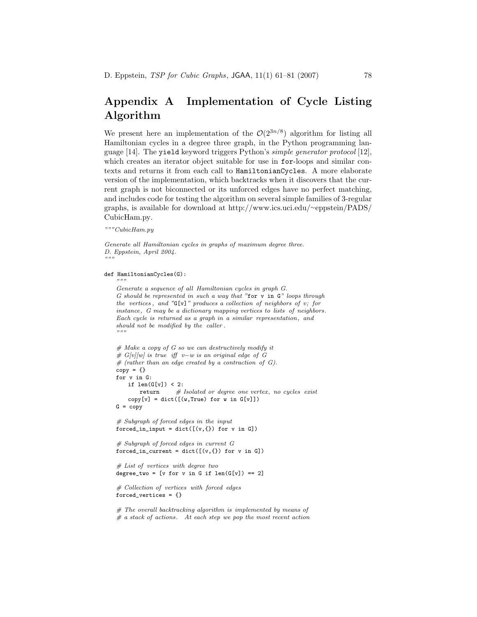# Appendix A Implementation of Cycle Listing Algorithm

We present here an implementation of the  $\mathcal{O}(2^{3n/8})$  algorithm for listing all Hamiltonian cycles in a degree three graph, in the Python programming language [14]. The yield keyword triggers Python's simple generator protocol [12], which creates an iterator object suitable for use in for-loops and similar contexts and returns it from each call to HamiltonianCycles. A more elaborate version of the implementation, which backtracks when it discovers that the current graph is not biconnected or its unforced edges have no perfect matching, and includes code for testing the algorithm on several simple families of 3-regular graphs, is available for download at http://www.ics.uci.edu/∼eppstein/PADS/ CubicHam.py.

```
"""CubicHam.py
```
Generate all Hamiltonian cycles in graphs of maximum degree three. D. Eppstein, April 2004. ""

```
def HamiltonianCycles(G):
```

```
""
Generate a sequence of all Hamiltonian cycles in graph G.
G should be represented in such a way that "for v in G" loops through
the vertices, and "G[v]" produces a collection of neighbors of v; for
instance, G may be a dictionary mapping vertices to lists of neighbors.
Each cycle is returned as a graph in a similar representation, and
should not be modified by the caller .
""
# Make a copy of G so we can destructively modify it# G[v][w] is true iff v-w is an original edge of G
# (rather than an edge created by a contraction of G).
copy = \{\}for v in G:
   if len(G[v]) < 2:
       return # Isolated or degree one vertex, no cycles existcopy[v] = dict([ (w, True) for w in G[v]])G = copy# Subgraph of forced edges in the inputforced_in_input = dict([(v,\}) for v in G])
# Subgraph of forced edges in current G
forced_in_current = dict([(v,\}) for v in G])
# List of vertices with degree twodegree_two = [v for v in G if len(G[v]) == 2]# Collection of vertices with forced edges
forced_vertices = {}
```
 $#$  The overall backtracking algorithm is implemented by means of  $# a stack of actions. At each step we pop the most recent action$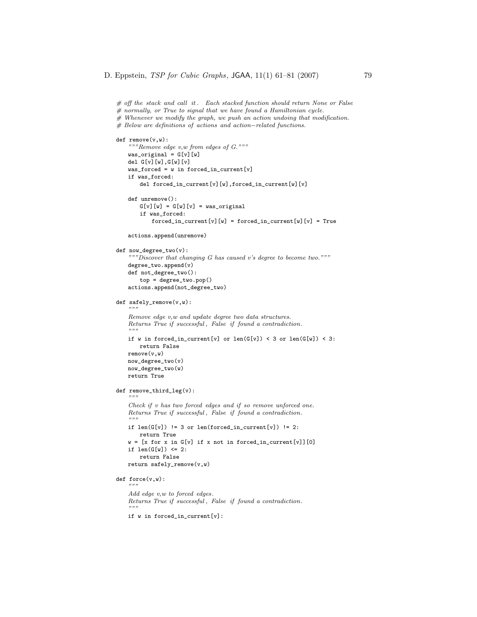```
# off the stack and call it. Each stacked function should return None or False
# normally, or True to signal that we have found a Hamiltonian cycle.
# Whenever we modify the graph, we push an action undoing that modification.
# Below are definitions of actions and action−related functions.
def remove(v,w):
    """Remove edge v,w from edges of G."""
   was\_original = G[v][w]del G[v][w],G[w][v]
   was_fored = w in forced_in_current[v]if was_forced:
       del forced_in_current[v][w],forced_in_current[w][v]
   def unremove():
       G[v][w] = G[w][v] = was\_originalif was_forced:
           forced_in\_current[v][w] = forced_in\_current[v][v] = Trueactions.append(unremove)
def now_degree_two(v):
    """Discover that changing G has caused v's degree to become two."""
   degree_two.append(v)
   def not_degree_two():
       top = degree_two.pop()
   actions.append(not_degree_two)
def safely_remove(v,w):
    ""
   Remove edge v,w and update degree two data structures.
   Returns True if successful , False if found a contradiction.
   """
   if w in forced_in_current[v] or len(G[v]) < 3 or len(G[w]) < 3:
       return False
   remove(v,w)
   now_degree_two(v)
   now_degree_two(w)
   return True
def remove_third_leg(v):
    """
   Check if v has two forced edges and if so remove unforced one.
   Returns True if successful , False if found a contradiction.
    ""
   if len(G[v]) != 3 or len(fored_in\_current[v]) != 2:
       return True
   w = [x for x in G[v] if x not in forced_in-current[v]][0]if len(G[w]) \leq 2:
       return False
   return safely_remove(v,w)
def force(v,w):
    "" "
   Add edge v,w to forced edges.
   Returns True if successful , False if found a contradiction.
    """
   if w in forced_in_current[v]:
```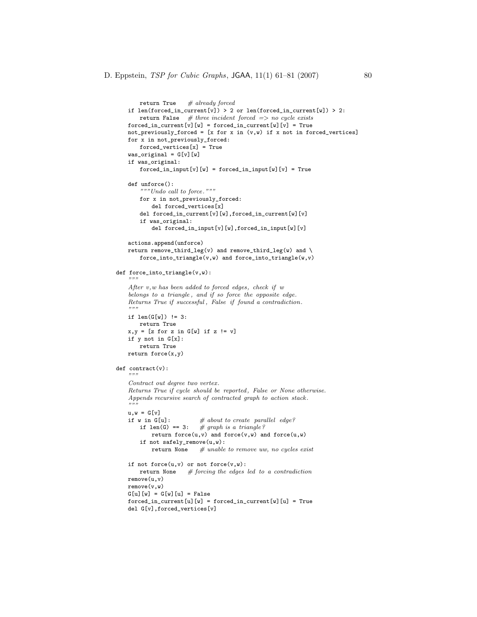```
return True \# already forced
   if len(fored_in\_current[v]) > 2 or len(fored_in\_current[v]) > 2:
       return False # three incident forced \Rightarrow no cycle exists
   forced_in\_current[v][w] = forced_in\_current[w][v] = Truenot\_previously\_forced = [x for x in (v,w) if x not in forced\_vertices]for x in not_previously_forced:
       forced_vertices[x] = True
   was\_original = G[v][w]if was_original:
       forced_in_input[v][w] = forced_in_input[v][v] = Truedef unforce():
        """Undo call to force ."""
        for x in not_previously_forced:
            del forced_vertices[x]
        del forced_in_current[v][w],forced_in_current[w][v]
        if was_original:
            del forced_in_input[v][w],forced_in_input[w][v]
   actions.append(unforce)
   return remove_third_leg(v) and remove_third_leg(w) and \
       force_into_triangle(v,w) and force_into_triangle(w,v)
def force_into_triangle(v,w):
    "" "
    After v, w has been added to forced edges, check if wbelongs to a triangle , and if so force the opposite edge.
    Returns True if successful , False if found a contradiction.
    """"
   if len(G[w]) != 3:
       return True
   x,y = [z \text{ for } z \text{ in } G[w] \text{ if } z := v]if y not in G[x]:
       return True
   return force(x,y)
def contract(v):
    """
    Contract out degree two vertex.
    Returns True if cycle should be reported, False or None otherwise.
   Appends recursive search of contracted graph to action stack .
    ""
   u, w = G[v]<br>if w in G[u]:
        \begin{array}{ll}\n\texttt{w} & \texttt{in } \mathbb{G}[u]: \\
\texttt{if } len(G) == 3: & \texttt{\#} \textit{ graph is a triangle?}\n\end{array}# graph is a triangle?return force(u,v) and force(v,w) and force(u,w)
        if not safely_remove(u,w):
            return None # unable to remove uw, no cycles exist
   if not force(u,v) or not force(v,w):
       return None # forcing the edges led to a contradiction
   remove(u,v)
   remove(v,w)
   G[u][w] = G[w][u] = Falseforced_in\_current[u][w] = forced_in\_current[w][u] = Truedel G[v],forced_vertices[v]
```